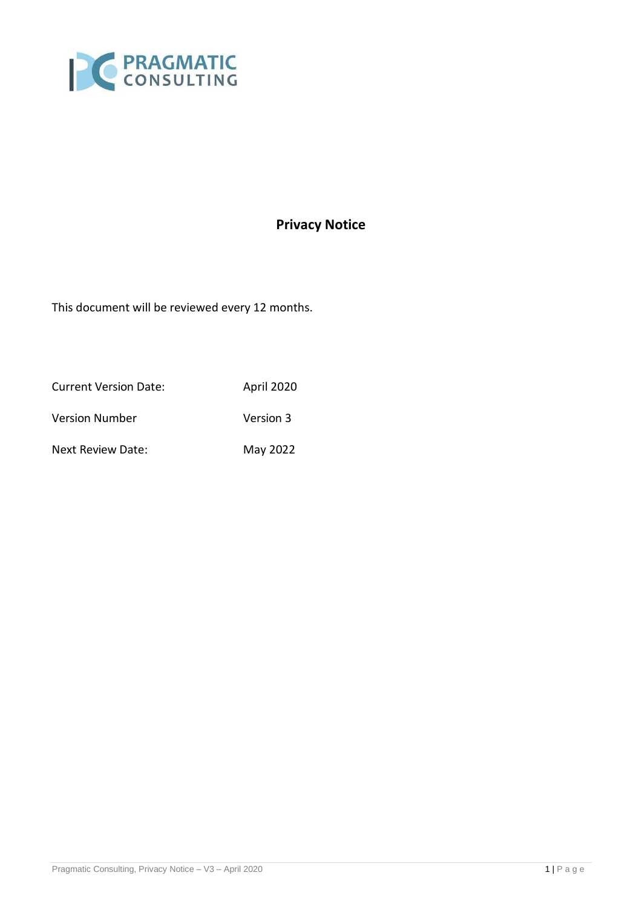

# **Privacy Notice**

This document will be reviewed every 12 months.

Current Version Date: April 2020 Version Number Version 3 Next Review Date: May 2022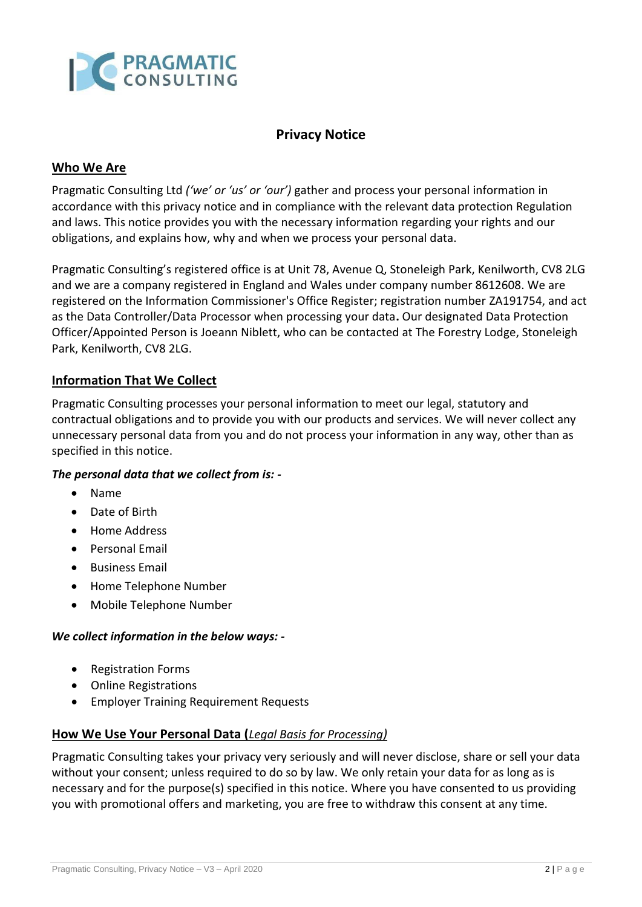

## **Privacy Notice**

### **Who We Are**

Pragmatic Consulting Ltd *('we' or 'us' or 'our')* gather and process your personal information in accordance with this privacy notice and in compliance with the relevant data protection Regulation and laws. This notice provides you with the necessary information regarding your rights and our obligations, and explains how, why and when we process your personal data.

Pragmatic Consulting's registered office is at Unit 78, Avenue Q, Stoneleigh Park, Kenilworth, CV8 2LG and we are a company registered in England and Wales under company number 8612608. We are registered on the Information Commissioner's Office Register; registration number ZA191754, and act as the Data Controller/Data Processor when processing your data**.** Our designated Data Protection Officer/Appointed Person is Joeann Niblett, who can be contacted at The Forestry Lodge, Stoneleigh Park, Kenilworth, CV8 2LG.

#### **Information That We Collect**

Pragmatic Consulting processes your personal information to meet our legal, statutory and contractual obligations and to provide you with our products and services. We will never collect any unnecessary personal data from you and do not process your information in any way, other than as specified in this notice.

#### *The personal data that we collect from is: -*

- Name
- Date of Birth
- Home Address
- Personal Email
- Business Email
- Home Telephone Number
- Mobile Telephone Number

#### *We collect information in the below ways: -*

- Registration Forms
- Online Registrations
- Employer Training Requirement Requests

#### **How We Use Your Personal Data (***Legal Basis for Processing)*

Pragmatic Consulting takes your privacy very seriously and will never disclose, share or sell your data without your consent; unless required to do so by law. We only retain your data for as long as is necessary and for the purpose(s) specified in this notice. Where you have consented to us providing you with promotional offers and marketing, you are free to withdraw this consent at any time.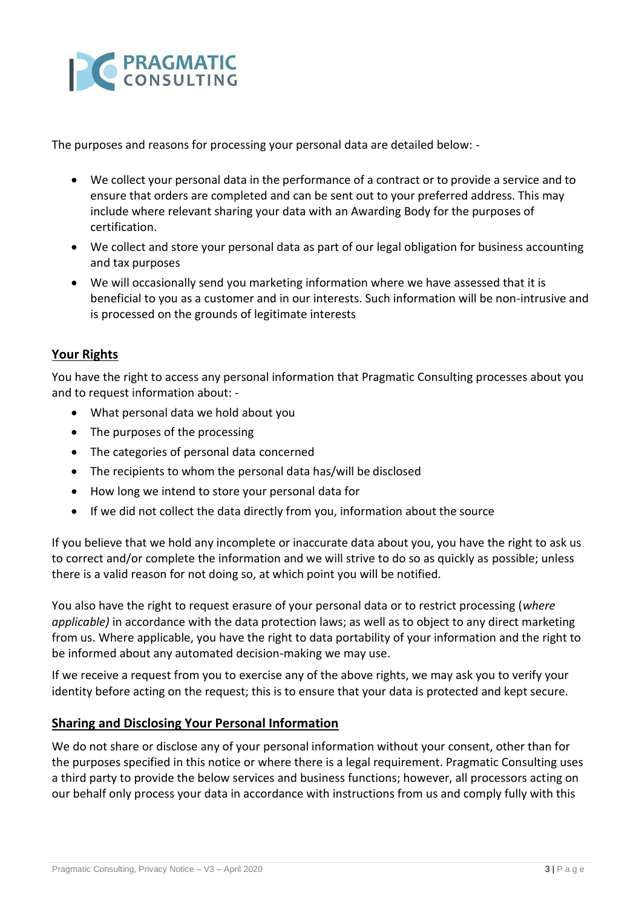

The purposes and reasons for processing your personal data are detailed below: -

- We collect your personal data in the performance of a contract or to provide a service and to ensure that orders are completed and can be sent out to your preferred address. This may include where relevant sharing your data with an Awarding Body for the purposes of certification.
- We collect and store your personal data as part of our legal obligation for business accounting and tax purposes
- We will occasionally send you marketing information where we have assessed that it is beneficial to you as a customer and in our interests. Such information will be non-intrusive and is processed on the grounds of legitimate interests

## **Your Rights**

You have the right to access any personal information that Pragmatic Consulting processes about you and to request information about: -

- What personal data we hold about you
- The purposes of the processing
- The categories of personal data concerned
- The recipients to whom the personal data has/will be disclosed
- How long we intend to store your personal data for
- If we did not collect the data directly from you, information about the source

If you believe that we hold any incomplete or inaccurate data about you, you have the right to ask us to correct and/or complete the information and we will strive to do so as quickly as possible; unless there is a valid reason for not doing so, at which point you will be notified.

You also have the right to request erasure of your personal data or to restrict processing (*where applicable)* in accordance with the data protection laws; as well as to object to any direct marketing from us. Where applicable, you have the right to data portability of your information and the right to be informed about any automated decision-making we may use.

If we receive a request from you to exercise any of the above rights, we may ask you to verify your identity before acting on the request; this is to ensure that your data is protected and kept secure.

#### **Sharing and Disclosing Your Personal Information**

We do not share or disclose any of your personal information without your consent, other than for the purposes specified in this notice or where there is a legal requirement. Pragmatic Consulting uses a third party to provide the below services and business functions; however, all processors acting on our behalf only process your data in accordance with instructions from us and comply fully with this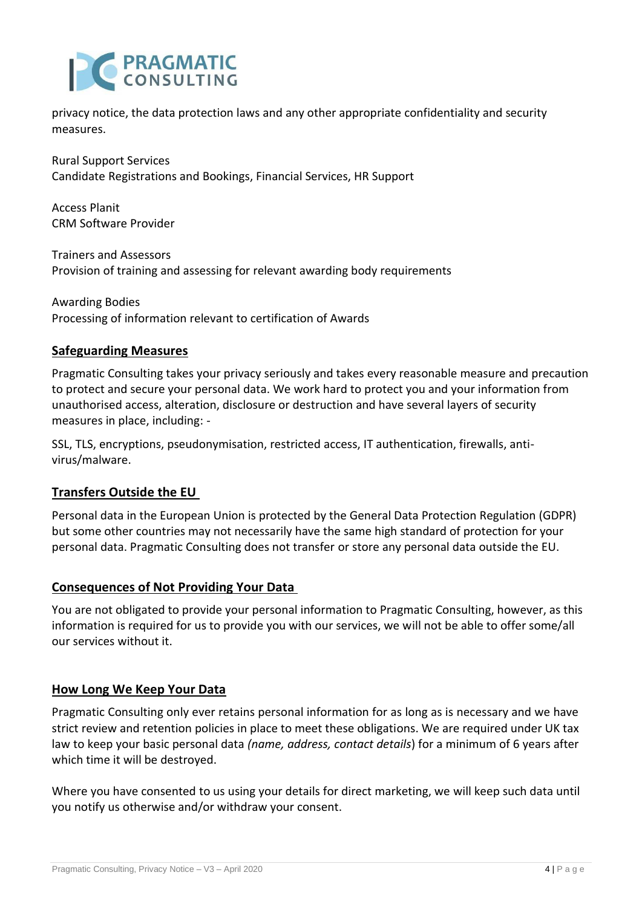

privacy notice, the data protection laws and any other appropriate confidentiality and security measures.

Rural Support Services Candidate Registrations and Bookings, Financial Services, HR Support

Access Planit CRM Software Provider

Trainers and Assessors Provision of training and assessing for relevant awarding body requirements

Awarding Bodies Processing of information relevant to certification of Awards

## **Safeguarding Measures**

Pragmatic Consulting takes your privacy seriously and takes every reasonable measure and precaution to protect and secure your personal data. We work hard to protect you and your information from unauthorised access, alteration, disclosure or destruction and have several layers of security measures in place, including: -

SSL, TLS, encryptions, pseudonymisation, restricted access, IT authentication, firewalls, antivirus/malware.

## **Transfers Outside the EU**

Personal data in the European Union is protected by the General Data Protection Regulation (GDPR) but some other countries may not necessarily have the same high standard of protection for your personal data. Pragmatic Consulting does not transfer or store any personal data outside the EU.

## **Consequences of Not Providing Your Data**

You are not obligated to provide your personal information to Pragmatic Consulting, however, as this information is required for us to provide you with our services, we will not be able to offer some/all our services without it.

## **How Long We Keep Your Data**

Pragmatic Consulting only ever retains personal information for as long as is necessary and we have strict review and retention policies in place to meet these obligations. We are required under UK tax law to keep your basic personal data *(name, address, contact details*) for a minimum of 6 years after which time it will be destroyed.

Where you have consented to us using your details for direct marketing, we will keep such data until you notify us otherwise and/or withdraw your consent.